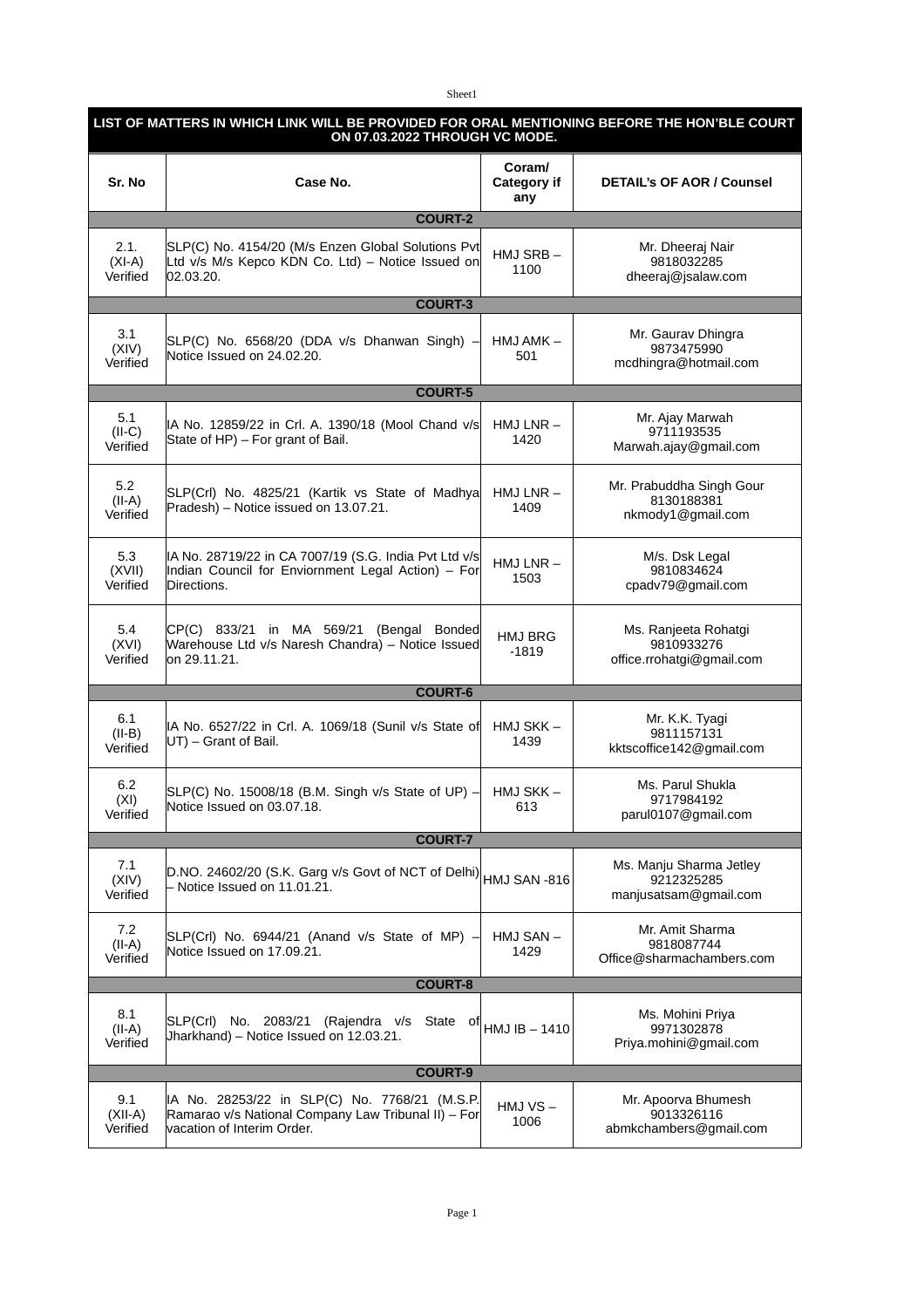Sheet1

| LIST OF MATTERS IN WHICH LINK WILL BE PROVIDED FOR ORAL MENTIONING BEFORE THE HON'BLE COURT<br>ON 07.03.2022 THROUGH VC MODE. |                                                                                                                                    |                                     |                                                                 |  |  |
|-------------------------------------------------------------------------------------------------------------------------------|------------------------------------------------------------------------------------------------------------------------------------|-------------------------------------|-----------------------------------------------------------------|--|--|
| Sr. No                                                                                                                        | Case No.                                                                                                                           | <b>Coram/</b><br>Category if<br>any | <b>DETAIL's OF AOR / Counsel</b>                                |  |  |
|                                                                                                                               | <b>COURT-2</b>                                                                                                                     |                                     |                                                                 |  |  |
| 2.1.<br>$(XI-A)$<br>Verified                                                                                                  | SLP(C) No. 4154/20 (M/s Enzen Global Solutions Pvt<br>Ltd v/s M/s Kepco KDN Co. Ltd) - Notice Issued on<br>02.03.20.               | HMJ SRB-<br>1100                    | Mr. Dheeraj Nair<br>9818032285<br>dheeraj@jsalaw.com            |  |  |
| <b>COURT-3</b>                                                                                                                |                                                                                                                                    |                                     |                                                                 |  |  |
| 3.1<br>(XIV)<br>Verified                                                                                                      | SLP(C) No. 6568/20 (DDA v/s Dhanwan Singh) -<br>Notice Issued on 24.02.20.                                                         | HMJ AMK -<br>501                    | Mr. Gaurav Dhingra<br>9873475990<br>mcdhingra@hotmail.com       |  |  |
| <b>COURT-5</b>                                                                                                                |                                                                                                                                    |                                     |                                                                 |  |  |
| 5.1<br>$(II-C)$<br>Verified                                                                                                   | IA No. 12859/22 in Crl. A. 1390/18 (Mool Chand v/s<br>State of HP) - For grant of Bail.                                            | $HMJ LNR -$<br>1420                 | Mr. Ajay Marwah<br>9711193535<br>Marwah.ajay@gmail.com          |  |  |
| 5.2<br>$(II-A)$<br>Verified                                                                                                   | SLP(Crl) No. 4825/21 (Kartik vs State of Madhya<br>Pradesh) - Notice issued on 13.07.21.                                           | $HMJ LNR -$<br>1409                 | Mr. Prabuddha Singh Gour<br>8130188381<br>nkmody1@gmail.com     |  |  |
| 5.3<br>(XVII)<br>Verified                                                                                                     | IA No. 28719/22 in CA 7007/19 (S.G. India Pvt Ltd v/s<br>Indian Council for Enviornment Legal Action) - For<br>Directions.         | $HMJ LNR -$<br>1503                 | M/s. Dsk Legal<br>9810834624<br>cpadv79@gmail.com               |  |  |
| 5.4<br>(XVI)<br>Verified                                                                                                      | CP(C) 833/21 in MA 569/21 (Bengal Bonded<br>Warehouse Ltd v/s Naresh Chandra) - Notice Issued<br>on 29.11.21.                      | HMJ BRG<br>-1819                    | Ms. Ranjeeta Rohatgi<br>9810933276<br>office.rrohatgi@gmail.com |  |  |
|                                                                                                                               | <b>COURT-6</b>                                                                                                                     |                                     |                                                                 |  |  |
| 6.1<br>$(II-B)$<br>Verified                                                                                                   | IA No. 6527/22 in Crl. A. 1069/18 (Sunil v/s State of<br>UT) - Grant of Bail.                                                      | HMJ SKK-<br>1439                    | Mr. K.K. Tyagi<br>9811157131<br>kktscoffice142@gmail.com        |  |  |
| 6.2<br>(XI)<br>Verified                                                                                                       | SLP(C) No. 15008/18 (B.M. Singh v/s State of UP) $-$<br>Notice Issued on 03.07.18.                                                 | HMJ SKK-<br>613                     | Ms. Parul Shukla<br>9717984192<br>parul0107@gmail.com           |  |  |
| <b>COURT-7</b>                                                                                                                |                                                                                                                                    |                                     |                                                                 |  |  |
| 7.1<br>(XIV)<br>Verified                                                                                                      | D.NO. 24602/20 (S.K. Garg v/s Govt of NCT of Delhi)<br>Notice Issued on 11.01.21.                                                  | HMJ SAN -816                        | Ms. Manju Sharma Jetley<br>9212325285<br>manjusatsam@gmail.com  |  |  |
| 7.2<br>$(II-A)$<br>Verified                                                                                                   | SLP(Crl) No. 6944/21 (Anand v/s State of MP) -<br>Notice Issued on 17.09.21.                                                       | HMJ SAN-<br>1429                    | Mr. Amit Sharma<br>9818087744<br>Office@sharmachambers.com      |  |  |
| <b>COURT-8</b>                                                                                                                |                                                                                                                                    |                                     |                                                                 |  |  |
| 8.1<br>$(II-A)$<br>Verified                                                                                                   | 2083/21<br>SLP(Crl)<br>No.<br>(Rajendra v/s<br>State of<br>Jharkhand) - Notice Issued on 12.03.21.                                 | $HMJIB - 1410$                      | Ms. Mohini Priya<br>9971302878<br>Priya.mohini@gmail.com        |  |  |
| <b>COURT-9</b>                                                                                                                |                                                                                                                                    |                                     |                                                                 |  |  |
| 9.1<br>$(XII-A)$<br>Verified                                                                                                  | IA No. 28253/22 in SLP(C) No. 7768/21 (M.S.P.<br>Ramarao v/s National Company Law Tribunal II) - For<br>vacation of Interim Order. | $HMJVS -$<br>1006                   | Mr. Apoorva Bhumesh<br>9013326116<br>abmkchambers@gmail.com     |  |  |